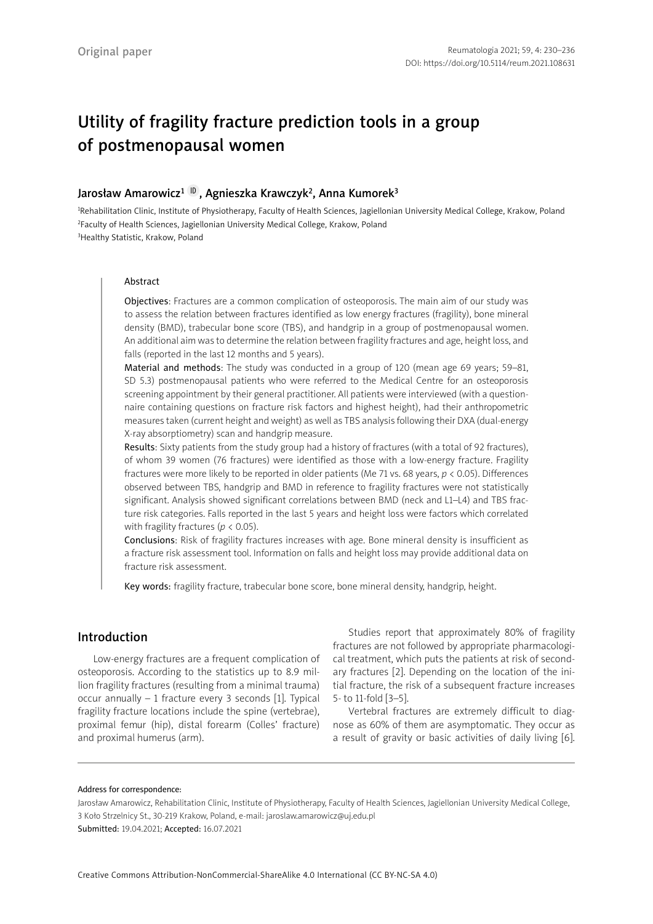# Utility of fragility fracture prediction tools in a group of postmenopausal women

# Jarosław Amarowicz<sup>1 [ID](https://orcid.org/0000-0003-1938-9047)</sup>, Agnieszka Krawczyk<sup>2</sup>, Anna Kumorek<sup>3</sup>

<sup>1</sup>Rehabilitation Clinic, Institute of Physiotherapy, Faculty of Health Sciences, Jagiellonian University Medical College, Krakow, Poland <sup>2</sup>Faculty of Health Sciences, Jagiellonian University Medical College, Krakow, Poland 3 Healthy Statistic, Krakow, Poland

### Abstract

Objectives: Fractures are a common complication of osteoporosis. The main aim of our study was to assess the relation between fractures identified as low energy fractures (fragility), bone mineral density (BMD), trabecular bone score (TBS), and handgrip in a group of postmenopausal women. An additional aim was to determine the relation between fragility fractures and age, height loss, and falls (reported in the last 12 months and 5 years).

Material and methods: The study was conducted in a group of 120 (mean age 69 years; 59–81, SD 5.3) postmenopausal patients who were referred to the Medical Centre for an osteoporosis screening appointment by their general practitioner. All patients were interviewed (with a questionnaire containing questions on fracture risk factors and highest height), had their anthropometric measures taken (current height and weight) as well as TBS analysis following their DXA (dual-energy X-ray absorptiometry) scan and handgrip measure.

Results: Sixty patients from the study group had a history of fractures (with a total of 92 fractures), of whom 39 women (76 fractures) were identified as those with a low-energy fracture. Fragility fractures were more likely to be reported in older patients (Me 71 vs. 68 years, *p* < 0.05). Differences observed between TBS, handgrip and BMD in reference to fragility fractures were not statistically significant. Analysis showed significant correlations between BMD (neck and L1–L4) and TBS fracture risk categories. Falls reported in the last 5 years and height loss were factors which correlated with fragility fractures (*p* < 0.05).

Conclusions: Risk of fragility fractures increases with age. Bone mineral density is insufficient as a fracture risk assessment tool. Information on falls and height loss may provide additional data on fracture risk assessment.

Key words: fragility fracture, trabecular bone score, bone mineral density, handgrip, height.

# Introduction

Low-energy fractures are a frequent complication of osteoporosis. According to the statistics up to 8.9 million fragility fractures (resulting from a minimal trauma) occur annually – 1 fracture every 3 seconds [1]. Typical fragility fracture locations include the spine (vertebrae), proximal femur (hip), distal forearm (Colles' fracture) and proximal humerus (arm).

Studies report that approximately 80% of fragility fractures are not followed by appropriate pharmacological treatment, which puts the patients at risk of secondary fractures [2]. Depending on the location of the initial fracture, the risk of a subsequent fracture increases 5- to 11-fold [3–5].

Vertebral fractures are extremely difficult to diagnose as 60% of them are asymptomatic. They occur as a result of gravity or basic activities of daily living [6].

#### Address for correspondence:

Jarosław Amarowicz, Rehabilitation Clinic, Institute of Physiotherapy, Faculty of Health Sciences, Jagiellonian University Medical College, 3 Koło Strzelnicy St., 30-219 Krakow, Poland, e-mail: jaroslaw.amarowicz@uj.edu.pl Submitted: 19.04.2021; Accepted: 16.07.2021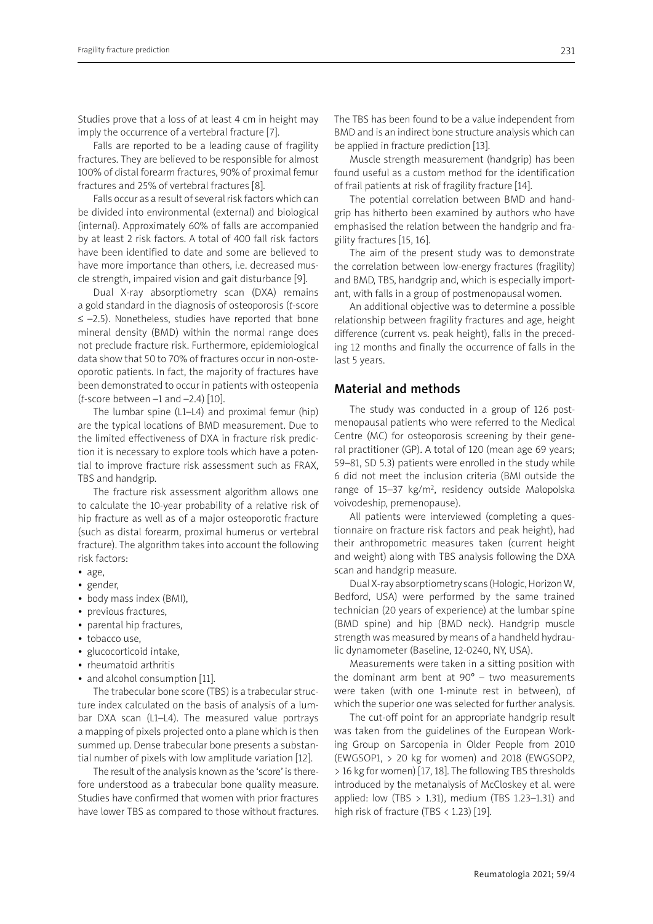Studies prove that a loss of at least 4 cm in height may imply the occurrence of a vertebral fracture [7].

Falls are reported to be a leading cause of fragility fractures. They are believed to be responsible for almost 100% of distal forearm fractures, 90% of proximal femur fractures and 25% of vertebral fractures [8].

Falls occur as a result of several risk factors which can be divided into environmental (external) and biological (internal). Approximately 60% of falls are accompanied by at least 2 risk factors. A total of 400 fall risk factors have been identified to date and some are believed to have more importance than others, i.e. decreased muscle strength, impaired vision and gait disturbance [9].

Dual X-ray absorptiometry scan (DXA) remains a gold standard in the diagnosis of osteoporosis (*t*-score ≤ –2.5). Nonetheless, studies have reported that bone mineral density (BMD) within the normal range does not preclude fracture risk. Furthermore, epidemiological data show that 50 to 70% of fractures occur in non-osteoporotic patients. In fact, the majority of fractures have been demonstrated to occur in patients with osteopenia (*t*-score between –1 and –2.4) [10].

The lumbar spine (L1–L4) and proximal femur (hip) are the typical locations of BMD measurement. Due to the limited effectiveness of DXA in fracture risk prediction it is necessary to explore tools which have a potential to improve fracture risk assessment such as FRAX, TBS and handgrip.

The fracture risk assessment algorithm allows one to calculate the 10-year probability of a relative risk of hip fracture as well as of a major osteoporotic fracture (such as distal forearm, proximal humerus or vertebral fracture). The algorithm takes into account the following risk factors:

- age,
- gender,
- body mass index (BMI),
- previous fractures,
- parental hip fractures,
- tobacco use,
- glucocorticoid intake,
- rheumatoid arthritis
- and alcohol consumption [11].

The trabecular bone score (TBS) is a trabecular structure index calculated on the basis of analysis of a lumbar DXA scan (L1–L4). The measured value portrays a mapping of pixels projected onto a plane which is then summed up. Dense trabecular bone presents a substantial number of pixels with low amplitude variation [12].

The result of the analysis known as the 'score' is therefore understood as a trabecular bone quality measure. Studies have confirmed that women with prior fractures have lower TBS as compared to those without fractures.

The TBS has been found to be a value independent from BMD and is an indirect bone structure analysis which can be applied in fracture prediction [13].

Muscle strength measurement (handgrip) has been found useful as a custom method for the identification of frail patients at risk of fragility fracture [14].

The potential correlation between BMD and handgrip has hitherto been examined by authors who have emphasised the relation between the handgrip and fragility fractures [15, 16].

The aim of the present study was to demonstrate the correlation between low-energy fractures (fragility) and BMD, TBS, handgrip and, which is especially important, with falls in a group of postmenopausal women.

An additional objective was to determine a possible relationship between fragility fractures and age, height difference (current vs. peak height), falls in the preceding 12 months and finally the occurrence of falls in the last 5 years.

## Material and methods

The study was conducted in a group of 126 postmenopausal patients who were referred to the Medical Centre (MC) for osteoporosis screening by their general practitioner (GP). A total of 120 (mean age 69 years; 59–81, SD 5.3) patients were enrolled in the study while 6 did not meet the inclusion criteria (BMI outside the range of 15-37 kg/m<sup>2</sup>, residency outside Malopolska voivodeship, premenopause).

All patients were interviewed (completing a questionnaire on fracture risk factors and peak height), had their anthropometric measures taken (current height and weight) along with TBS analysis following the DXA scan and handgrip measure.

Dual X-ray absorptiometry scans (Hologic, Horizon W, Bedford, USA) were performed by the same trained technician (20 years of experience) at the lumbar spine (BMD spine) and hip (BMD neck). Handgrip muscle strength was measured by means of a handheld hydraulic dynamometer (Baseline, 12-0240, NY, USA).

Measurements were taken in a sitting position with the dominant arm bent at  $90^{\circ}$  – two measurements were taken (with one 1-minute rest in between), of which the superior one was selected for further analysis.

The cut-off point for an appropriate handgrip result was taken from the guidelines of the European Working Group on Sarcopenia in Older People from 2010 (EWGSOP1, > 20 kg for women) and 2018 (EWGSOP2, > 16 kg for women) [17, 18]. The following TBS thresholds introduced by the metanalysis of McCloskey et al. were applied: low (TBS  $> 1.31$ ), medium (TBS 1.23-1.31) and high risk of fracture (TBS  $<$  1.23) [19].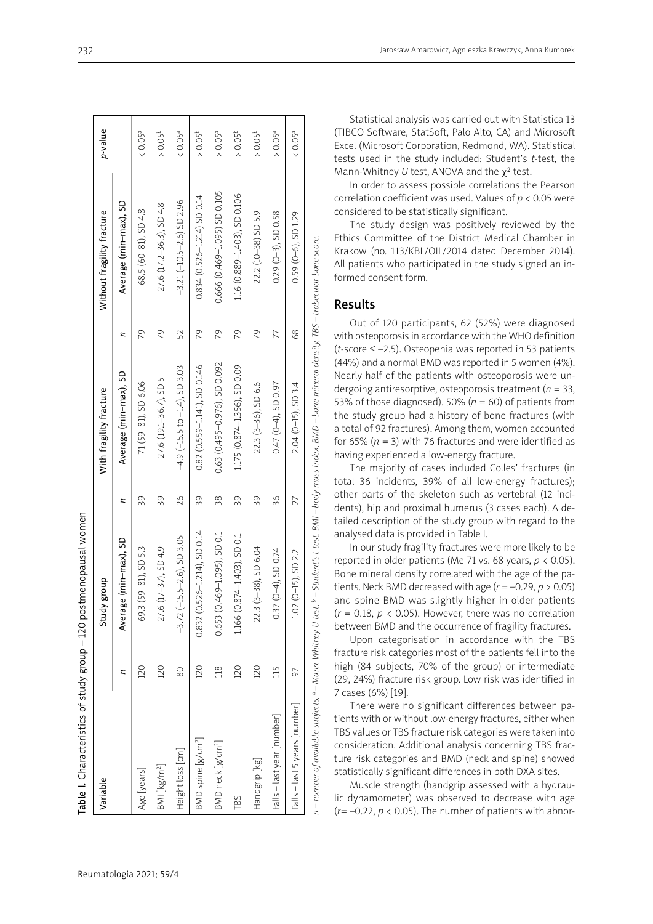|                                |     | Table I. Characteristics of study group - 120 postmenopausal women |    |                                    |    |                                 |                     |
|--------------------------------|-----|--------------------------------------------------------------------|----|------------------------------------|----|---------------------------------|---------------------|
| Variable                       |     | dno.8<br>Study                                                     |    | With fragility fracture            |    | Without fragility fracture      | p-value             |
|                                |     | Average (min-max), SD                                              | z  | Average (min-max), SD              | z  | Average (min-max), SD           |                     |
| Age [years]                    | 120 | 69.3 (59-81), SD 5.3                                               | 39 | 71 (59-81), SD 6.06                | 79 | 68.5 (60-81), SD 4.8            | < 0.05a             |
| BMI [kg/m <sup>2</sup> ]       | 120 | 27.6 (17-37), SD 4.9                                               | 39 | 27.6 (19.1–36.7), SD 5             | 79 | 27.6 (17.2-36.3), SD 4.8        | $> 0.05^b$          |
| Height loss [cm]               | 80  | $-3.72$ ( $-15.5-2.6$ ), SD 3.05                                   | 26 | $-4.9$ (-15.5 to $-1.4$ ), SD 3.03 | 52 | $-3.21$ $(-10.5 - 2.6)$ SD 2.96 | & 0.05a             |
| BMD spine [g/cm <sup>2</sup> ] | 120 | $0.832$ ( $0.526 - 1.214$ ), SD 0.14                               | 39 | 0.82 (0.559-1.141), SD 0.146       | 79 | $0.834$ (0.526-1.214) SD 0.14   | > 0.05 <sup>b</sup> |
| BMD neck [g/cm <sup>2</sup> ]  | 118 | 0.653 (0.469-1.095), SD 0.1                                        | 38 | 0.63 (0.495-0.976), SD 0.092       | 79 | 0.666 (0.469-1.095) SD 0.105    | > 0.05 <sup>a</sup> |
| TBS                            | 120 | 1.166 (0.874-1.403), SD 0.1                                        | 39 | 1.175 (0.874-1.356), SD 0.09       | 79 | 1.16 (0.889-1.403), SD 0.106    | $> 0.05^{\text{b}}$ |
| Handgrip [kg]                  | 120 | $(3-38)$ , SD 6.04<br>22.3                                         | 39 | 22.3 (3-36), SD 6.6                | 79 | 22.2 (10-38) SD 5.9             | $> 0.05^{\rm b}$    |
| Falls - last year [number]     | 115 | $0.37(0-4)$ , SD 0.74                                              | 96 | $0.47(0-4)$ , SD 0.97              | 77 | $0.29(0-3),$ SD 0.58            | $> 0.05^a$          |
| Falls - last 5 years [number]  | 56  | 1.02 (0-15), SD 2.2                                                | 27 | 2.04 (0-15), SD 3.4                | 89 | $0.59$ ( $0-6$ ), SD 1.29       | < 0.05 <sup>a</sup> |
|                                |     |                                                                    |    |                                    |    |                                 |                     |

n – number of available subjects, <sup>a</sup> – Mann-Whitney U test, <sup>b</sup> – Student's t-test. BMI – body mass index, BMD – bone mineral density, TBS – trabecular bone score. *n – number of available subjects, a – Mann-Whitney U test, b – Student's t-test. BMI – body mass index, BMD – bone mineral density, TBS – trabecular bone score.*

Statistical analysis was carried out with Statistica 13 (TIBCO Software, StatSoft, Palo Alto, CA) and Microsoft Excel (Microsoft Corporation, Redmond, WA). Statistical tests used in the study included: Student's *t*-test, the Mann-Whitney *U* test, ANOVA and the  $\chi^2$  test.

In order to assess possible correlations the Pearson correlation coefficient was used. Values of *p* < 0.05 were considered to be statistically significant.

The study design was positively reviewed by the Ethics Committee of the District Medical Chamber in Krakow (no. 113/KBL/OIL/2014 dated December 2014). All patients who participated in the study signed an in formed consent form.

# Results

Out of 120 participants, 62 (52%) were diagnosed with osteoporosis in accordance with the WHO definition (*t-*score ≤ –2.5). Osteopenia was reported in 53 patients (44%) and a normal BMD was reported in 5 women (4%). Nearly half of the patients with osteoporosis were un dergoing antiresorptive, osteoporosis treatment ( *n* = 33, 53% of those diagnosed). 50% ( $n = 60$ ) of patients from the study group had a history of bone fractures (with a total of 92 fractures). Among them, women accounted for 65%  $(n = 3)$  with 76 fractures and were identified as having experienced a low-energy fracture.

The majority of cases included Colles' fractures (in total 36 incidents, 39% of all low-energy fractures); other parts of the skeleton such as vertebral (12 inci dents), hip and proximal humerus (3 cases each). A de tailed description of the study group with regard to the analysed data is provided in Table I.

In our study fragility fractures were more likely to be reported in older patients (Me 71 vs. 68 years, *p* < 0.05). Bone mineral density correlated with the age of the pa tients. Neck BMD decreased with age  $(r = -0.29, p > 0.05)$ and spine BMD was slightly higher in older patients (*<sup>r</sup>* = 0.18, *p* < 0.05). However, there was no correlation between BMD and the occurrence of fragility fractures.

Upon categorisation in accordance with the TBS fracture risk categories most of the patients fell into the high (84 subjects, 70% of the group) or intermediate (29, 24%) fracture risk group. Low risk was identified in 7 cases (6%) [19].

There were no significant differences between pa tients with or without low-energy fractures, either when TBS values or TBS fracture risk categories were taken into consideration. Additional analysis concerning TBS frac ture risk categories and BMD (neck and spine) showed statistically significant differences in both DXA sites.

Muscle strength (handgrip assessed with a hydrau lic dynamometer) was observed to decrease with age  $(r=-0.22, p < 0.05)$ . The number of patients with abnor-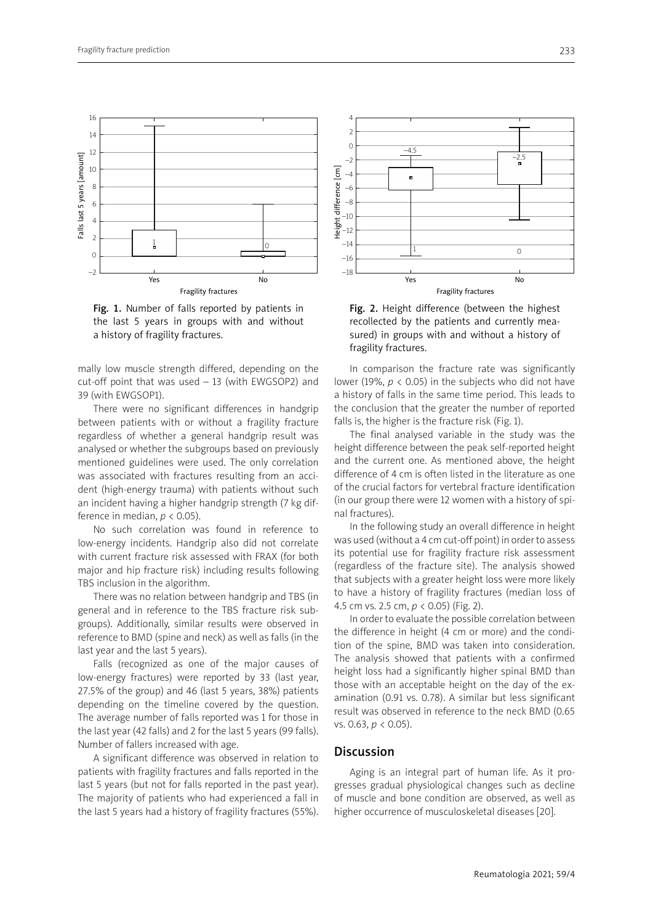

Fig. 1. Number of falls reported by patients in the last 5 years in groups with and without a history of fragility fractures.

mally low muscle strength differed, depending on the cut-off point that was used – 13 (with EWGSOP2) and 39 (with EWGSOP1).

There were no significant differences in handgrip between patients with or without a fragility fracture regardless of whether a general handgrip result was analysed or whether the subgroups based on previously mentioned guidelines were used. The only correlation was associated with fractures resulting from an accident (high-energy trauma) with patients without such an incident having a higher handgrip strength (7 kg difference in median,  $p < 0.05$ ).

No such correlation was found in reference to low-energy incidents. Handgrip also did not correlate with current fracture risk assessed with FRAX (for both major and hip fracture risk) including results following TBS inclusion in the algorithm.

There was no relation between handgrip and TBS (in general and in reference to the TBS fracture risk subgroups). Additionally, similar results were observed in reference to BMD (spine and neck) as well as falls (in the last year and the last 5 years).

Falls (recognized as one of the major causes of low-energy fractures) were reported by 33 (last year, 27.5% of the group) and 46 (last 5 years, 38%) patients depending on the timeline covered by the question. The average number of falls reported was 1 for those in the last year (42 falls) and 2 for the last 5 years (99 falls). Number of fallers increased with age.

A significant difference was observed in relation to patients with fragility fractures and falls reported in the last 5 years (but not for falls reported in the past year). The majority of patients who had experienced a fall in the last 5 years had a history of fragility fractures (55%).



Fig. 2. Height difference (between the highest recollected by the patients and currently measured) in groups with and without a history of fragility fractures.

In comparison the fracture rate was significantly lower (19%,  $p < 0.05$ ) in the subjects who did not have a history of falls in the same time period. This leads to the conclusion that the greater the number of reported falls is, the higher is the fracture risk (Fig. 1).

The final analysed variable in the study was the height difference between the peak self-reported height and the current one. As mentioned above, the height difference of 4 cm is often listed in the literature as one of the crucial factors for vertebral fracture identification (in our group there were 12 women with a history of spinal fractures).

In the following study an overall difference in height was used (without a 4 cm cut-off point) in order to assess its potential use for fragility fracture risk assessment (regardless of the fracture site). The analysis showed that subjects with a greater height loss were more likely to have a history of fragility fractures (median loss of 4.5 cm vs. 2.5 cm, *p* < 0.05) (Fig. 2).

In order to evaluate the possible correlation between the difference in height (4 cm or more) and the condition of the spine, BMD was taken into consideration. The analysis showed that patients with a confirmed height loss had a significantly higher spinal BMD than those with an acceptable height on the day of the examination (0.91 vs. 0.78). A similar but less significant result was observed in reference to the neck BMD (0.65 vs. 0.63, *p* < 0.05).

# Discussion

Aging is an integral part of human life. As it progresses gradual physiological changes such as decline of muscle and bone condition are observed, as well as higher occurrence of musculoskeletal diseases [20].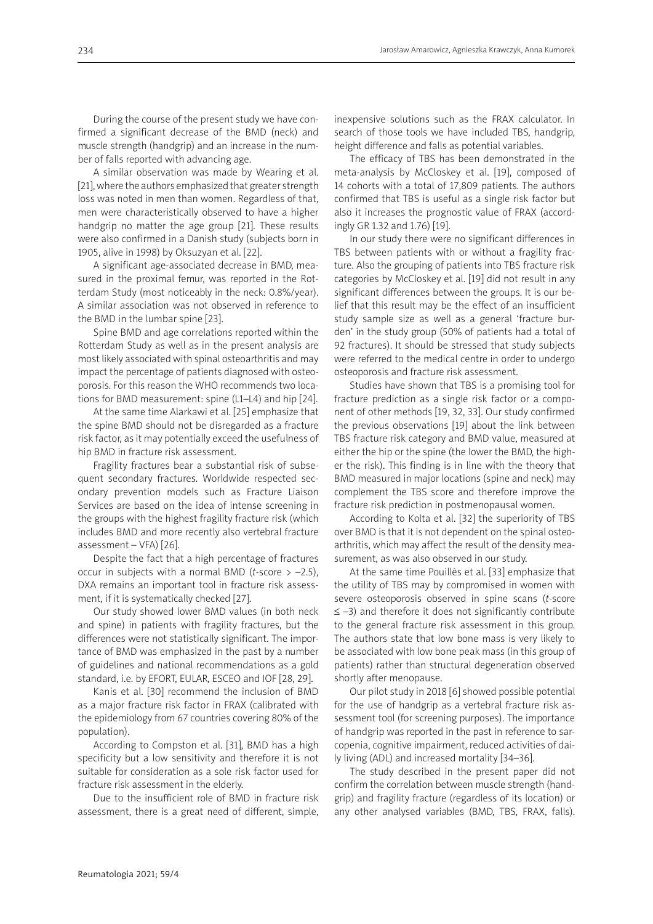During the course of the present study we have confirmed a significant decrease of the BMD (neck) and muscle strength (handgrip) and an increase in the number of falls reported with advancing age.

A similar observation was made by Wearing et al. [21], where the authors emphasized that greater strength loss was noted in men than women. Regardless of that, men were characteristically observed to have a higher handgrip no matter the age group [21]. These results were also confirmed in a Danish study (subjects born in 1905, alive in 1998) by Oksuzyan et al. [22].

A significant age-associated decrease in BMD, measured in the proximal femur, was reported in the Rotterdam Study (most noticeably in the neck: 0.8%/year). A similar association was not observed in reference to the BMD in the lumbar spine [23].

Spine BMD and age correlations reported within the Rotterdam Study as well as in the present analysis are most likely associated with spinal osteoarthritis and may impact the percentage of patients diagnosed with osteoporosis. For this reason the WHO recommends two locations for BMD measurement: spine (L1–L4) and hip [24].

At the same time Alarkawi et al. [25] emphasize that the spine BMD should not be disregarded as a fracture risk factor, as it may potentially exceed the usefulness of hip BMD in fracture risk assessment.

Fragility fractures bear a substantial risk of subsequent secondary fractures. Worldwide respected secondary prevention models such as Fracture Liaison Services are based on the idea of intense screening in the groups with the highest fragility fracture risk (which includes BMD and more recently also vertebral fracture assessment – VFA) [26].

Despite the fact that a high percentage of fractures occur in subjects with a normal BMD (*t*-score > –2.5), DXA remains an important tool in fracture risk assessment, if it is systematically checked [27].

Our study showed lower BMD values (in both neck and spine) in patients with fragility fractures, but the differences were not statistically significant. The importance of BMD was emphasized in the past by a number of guidelines and national recommendations as a gold standard, i.e. by EFORT, EULAR, ESCEO and IOF [28, 29].

Kanis et al. [30] recommend the inclusion of BMD as a major fracture risk factor in FRAX (calibrated with the epidemiology from 67 countries covering 80% of the population).

According to Compston et al. [31], BMD has a high specificity but a low sensitivity and therefore it is not suitable for consideration as a sole risk factor used for fracture risk assessment in the elderly.

Due to the insufficient role of BMD in fracture risk assessment, there is a great need of different, simple, inexpensive solutions such as the FRAX calculator. In search of those tools we have included TBS, handgrip, height difference and falls as potential variables.

The efficacy of TBS has been demonstrated in the meta-analysis by McCloskey et al. [19], composed of 14 cohorts with a total of 17,809 patients. The authors confirmed that TBS is useful as a single risk factor but also it increases the prognostic value of FRAX (accordingly GR 1.32 and 1.76) [19].

In our study there were no significant differences in TBS between patients with or without a fragility fracture. Also the grouping of patients into TBS fracture risk categories by McCloskey et al. [19] did not result in any significant differences between the groups. It is our belief that this result may be the effect of an insufficient study sample size as well as a general 'fracture burden' in the study group (50% of patients had a total of 92 fractures). It should be stressed that study subjects were referred to the medical centre in order to undergo osteoporosis and fracture risk assessment.

Studies have shown that TBS is a promising tool for fracture prediction as a single risk factor or a component of other methods [19, 32, 33]. Our study confirmed the previous observations [19] about the link between TBS fracture risk category and BMD value, measured at either the hip or the spine (the lower the BMD, the higher the risk). This finding is in line with the theory that BMD measured in major locations (spine and neck) may complement the TBS score and therefore improve the fracture risk prediction in postmenopausal women.

According to Kolta et al. [32] the superiority of TBS over BMD is that it is not dependent on the spinal osteoarthritis, which may affect the result of the density measurement, as was also observed in our study.

At the same time Pouillès et al. [33] emphasize that the utility of TBS may by compromised in women with severe osteoporosis observed in spine scans (*t*-score ≤ –3) and therefore it does not significantly contribute to the general fracture risk assessment in this group. The authors state that low bone mass is very likely to be associated with low bone peak mass (in this group of patients) rather than structural degeneration observed shortly after menopause.

Our pilot study in 2018 [6] showed possible potential for the use of handgrip as a vertebral fracture risk assessment tool (for screening purposes). The importance of handgrip was reported in the past in reference to sarcopenia, cognitive impairment, reduced activities of daily living (ADL) and increased mortality [34–36].

The study described in the present paper did not confirm the correlation between muscle strength (handgrip) and fragility fracture (regardless of its location) or any other analysed variables (BMD, TBS, FRAX, falls).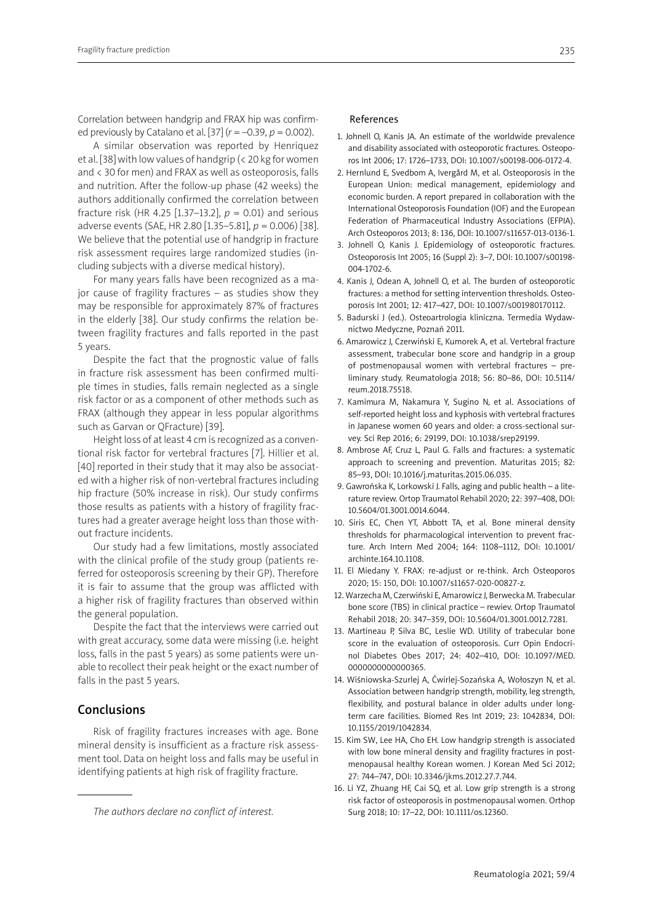Correlation between handgrip and FRAX hip was confirmed previously by Catalano et al. [37] (*r* = –0.39, *p* = 0.002).

A similar observation was reported by Henriquez et al. [38] with low values of handgrip (< 20 kg for women and < 30 for men) and FRAX as well as osteoporosis, falls and nutrition. After the follow-up phase (42 weeks) the authors additionally confirmed the correlation between fracture risk (HR 4.25 [1.37–13.2], *p* = 0.01) and serious adverse events (SAE, HR 2.80 [1.35–5.81], *p* = 0.006) [38]. We believe that the potential use of handgrip in fracture risk assessment requires large randomized studies (including subjects with a diverse medical history).

For many years falls have been recognized as a major cause of fragility fractures – as studies show they may be responsible for approximately 87% of fractures in the elderly [38]. Our study confirms the relation between fragility fractures and falls reported in the past 5 years.

Despite the fact that the prognostic value of falls in fracture risk assessment has been confirmed multiple times in studies, falls remain neglected as a single risk factor or as a component of other methods such as FRAX (although they appear in less popular algorithms such as Garvan or QFracture) [39].

Height loss of at least 4 cm is recognized as a conventional risk factor for vertebral fractures [7]. Hillier et al. [40] reported in their study that it may also be associated with a higher risk of non-vertebral fractures including hip fracture (50% increase in risk). Our study confirms those results as patients with a history of fragility fractures had a greater average height loss than those without fracture incidents.

Our study had a few limitations, mostly associated with the clinical profile of the study group (patients referred for osteoporosis screening by their GP). Therefore it is fair to assume that the group was afflicted with a higher risk of fragility fractures than observed within the general population.

Despite the fact that the interviews were carried out with great accuracy, some data were missing (i.e. height loss, falls in the past 5 years) as some patients were unable to recollect their peak height or the exact number of falls in the past 5 years.

#### Conclusions

Risk of fragility fractures increases with age. Bone mineral density is insufficient as a fracture risk assessment tool. Data on height loss and falls may be useful in identifying patients at high risk of fragility fracture.

#### References

- 1. Johnell O, Kanis JA. An estimate of the worldwide prevalence and disability associated with osteoporotic fractures. Osteoporos Int 2006; 17: 1726–1733, DOI: 10.1007/s00198-006-0172-4.
- 2. Hernlund E, Svedbom A, Ivergård M, et al. Osteoporosis in the European Union: medical management, epidemiology and economic burden. A report prepared in collaboration with the International Osteoporosis Foundation (IOF) and the European Federation of Pharmaceutical Industry Associations (EFPIA). Arch Osteoporos 2013; 8: 136, DOI: 10.1007/s11657-013-0136-1.
- 3. Johnell O, Kanis J. Epidemiology of osteoporotic fractures. Osteoporosis Int 2005; 16 (Suppl 2): 3–7, DOI: 10.1007/s00198- 004-1702-6.
- 4. Kanis J, Odean A, Johnell O, et al. The burden of osteoporotic fractures: a method for setting intervention thresholds. Osteoporosis Int 2001; 12: 417–427, DOI: 10.1007/s001980170112.
- 5. Badurski J (ed.). Osteoartrologia kliniczna. Termedia Wydawnictwo Medyczne, Poznań 2011.
- 6. Amarowicz J, Czerwiński E, Kumorek A, et al. Vertebral fracture assessment, trabecular bone score and handgrip in a group of postmenopausal women with vertebral fractures – preliminary study. Reumatologia 2018; 56: 80–86, DOI: 10.5114/ reum.2018.75518.
- 7. Kamimura M, Nakamura Y, Sugino N, et al. Associations of self-reported height loss and kyphosis with vertebral fractures in Japanese women 60 years and older: a cross-sectional survey. Sci Rep 2016; 6: 29199, DOI: 10.1038/srep29199.
- 8. Ambrose AF, Cruz L, Paul G. Falls and fractures: a systematic approach to screening and prevention. Maturitas 2015; 82: 85–93, DOI: 10.1016/j.maturitas.2015.06.035.
- 9. Gawrońska K, Lorkowski J. Falls, aging and public health a literature review. Ortop Traumatol Rehabil 2020; 22: 397–408, DOI: 10.5604/01.3001.0014.6044.
- 10. Siris EC, Chen YT, Abbott TA, et al. Bone mineral density thresholds for pharmacological intervention to prevent fracture. Arch Intern Med 2004; 164: 1108–1112, DOI: 10.1001/ archinte.164.10.1108.
- 11. El Miedany Y. FRAX: re-adjust or re-think. Arch Osteoporos 2020; 15: 150, DOI: 10.1007/s11657-020-00827-z.
- 12. Warzecha M, Czerwiński E, Amarowicz J, Berwecka M. Trabecular bone score (TBS) in clinical practice – rewiev. Ortop Traumatol Rehabil 2018; 20: 347–359, DOI: 10.5604/01.3001.0012.7281.
- 13. Martineau P, Silva BC, Leslie WD. Utility of trabecular bone score in the evaluation of osteoporosis. Curr Opin Endocrinol Diabetes Obes 2017; 24: 402–410, DOI: 10.1097/MED. 0000000000000365.
- 14. Wiśniowska-Szurlej A, Ćwirlej-Sozańska A, Wołoszyn N, et al. Association between handgrip strength, mobility, leg strength, flexibility, and postural balance in older adults under longterm care facilities. Biomed Res Int 2019; 23: 1042834, DOI: 10.1155/2019/1042834.
- 15. Kim SW, Lee HA, Cho EH. Low handgrip strength is associated with low bone mineral density and fragility fractures in postmenopausal healthy Korean women. J Korean Med Sci 2012; 27: 744–747, DOI: 10.3346/jkms.2012.27.7.744.
- 16. Li YZ, Zhuang HF, Cai SQ, et al. Low grip strength is a strong risk factor of osteoporosis in postmenopausal women. Orthop Surg 2018; 10: 17–22, DOI: 10.1111/os.12360.

*The authors declare no conflict of interest.*